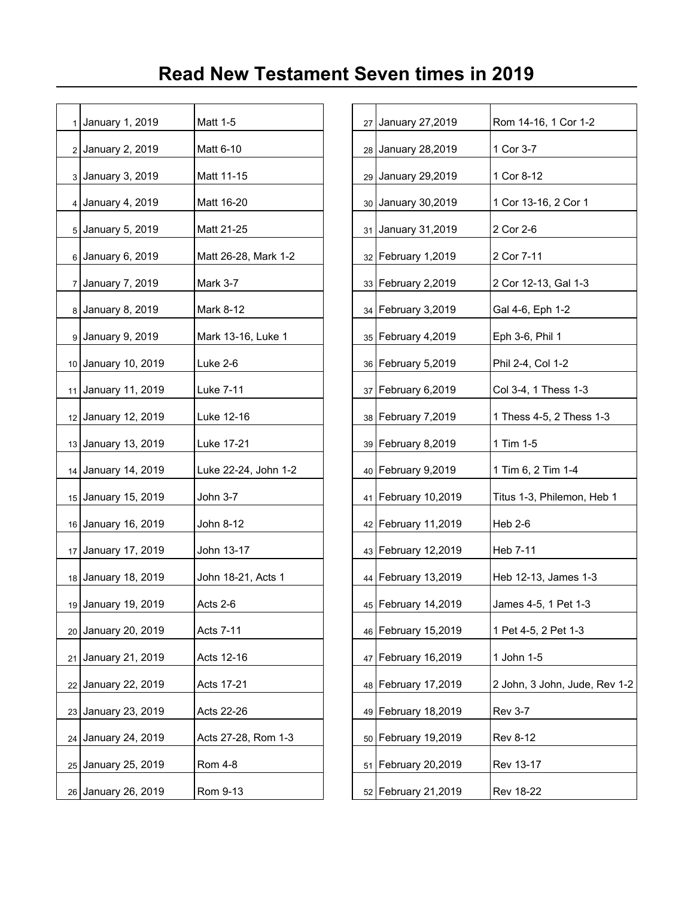| 1  | January 1, 2019     | Matt 1-5             |  | 27 January 27,2019    | Rom 14-16, 1 Cor 1-2     |
|----|---------------------|----------------------|--|-----------------------|--------------------------|
|    | 2 January 2, 2019   | Matt 6-10            |  | 28 January 28,2019    | 1 Cor 3-7                |
|    | 3 January 3, 2019   | Matt 11-15           |  | 29 January 29,2019    | 1 Cor 8-12               |
|    | 4 January 4, 2019   | Matt 16-20           |  | 30 January 30,2019    | 1 Cor 13-16, 2 Cor 1     |
|    | 5 January 5, 2019   | Matt 21-25           |  | 31 January 31,2019    | 2 Cor 2-6                |
|    | 6 January 6, 2019   | Matt 26-28, Mark 1-2 |  | 32 February 1,2019    | 2 Cor 7-11               |
|    | 7 January 7, 2019   | Mark 3-7             |  | 33 February 2,2019    | 2 Cor 12-13, Gal 1-3     |
|    | 8 January 8, 2019   | Mark 8-12            |  | 34   February 3,2019  | Gal 4-6, Eph 1-2         |
|    | 9 January 9, 2019   | Mark 13-16, Luke 1   |  | 35 February 4,2019    | Eph 3-6, Phil 1          |
|    | 10 January 10, 2019 | Luke 2-6             |  | 36 February 5,2019    | Phil 2-4, Col 1-2        |
|    | 11 January 11, 2019 | Luke 7-11            |  | 37   February 6,2019  | Col 3-4, 1 Thess 1-3     |
|    | 12 January 12, 2019 | Luke 12-16           |  | 38   February 7,2019  | 1 Thess 4-5, 2 Thess 1-3 |
|    | 13 January 13, 2019 | Luke 17-21           |  | 39 February 8,2019    | 1 Tim 1-5                |
|    | 14 January 14, 2019 | Luke 22-24, John 1-2 |  | 40 February 9,2019    | 1 Tim 6, 2 Tim 1-4       |
|    | 15 January 15, 2019 | John 3-7             |  | 41   February 10,2019 | Titus 1-3, Philemon, Heb |
|    | 16 January 16, 2019 | John 8-12            |  | 42 February 11,2019   | Heb 2-6                  |
|    | 17 January 17, 2019 | John 13-17           |  | 43 February 12,2019   | Heb 7-11                 |
|    | 18 January 18, 2019 | John 18-21, Acts 1   |  | 44 February 13,2019   | Heb 12-13, James 1-3     |
|    | 19 January 19, 2019 | Acts 2-6             |  | 45 February 14,2019   | James 4-5, 1 Pet 1-3     |
|    | 20 January 20, 2019 | Acts 7-11            |  | 46 February 15,2019   | 1 Pet 4-5, 2 Pet 1-3     |
| 21 | January 21, 2019    | Acts 12-16           |  | 47 February 16,2019   | 1 John 1-5               |
|    | 22 January 22, 2019 | Acts 17-21           |  | 48 February 17,2019   | 2 John, 3 John, Jude, Re |
|    | 23 January 23, 2019 | Acts 22-26           |  | 49 February 18,2019   | <b>Rev 3-7</b>           |
|    | 24 January 24, 2019 | Acts 27-28, Rom 1-3  |  | 50 February 19,2019   | <b>Rev 8-12</b>          |
|    | 25 January 25, 2019 | Rom 4-8              |  | 51   February 20,2019 | Rev 13-17                |
|    | 26 January 26, 2019 | Rom 9-13             |  | 52 February 21,2019   | <b>Rev 18-22</b>         |
|    |                     |                      |  |                       |                          |

| 1 January 1, 2019   | Matt 1-5             | 27 | January 27,2019       | Rom 14-16, 1 Cor 1-2          |
|---------------------|----------------------|----|-----------------------|-------------------------------|
| 2 January 2, 2019   | Matt 6-10            | 28 | January 28,2019       | 1 Cor 3-7                     |
| 3 January 3, 2019   | Matt 11-15           | 29 | January 29,2019       | 1 Cor 8-12                    |
| 4 January 4, 2019   | Matt 16-20           | 30 | January 30,2019       | 1 Cor 13-16, 2 Cor 1          |
| 5 January 5, 2019   | Matt 21-25           | 31 | January 31,2019       | 2 Cor 2-6                     |
| 6 January 6, 2019   | Matt 26-28, Mark 1-2 |    | 32   February 1,2019  | 2 Cor 7-11                    |
| 7 January 7, 2019   | <b>Mark 3-7</b>      |    | 33 February 2,2019    | 2 Cor 12-13, Gal 1-3          |
| 8 January 8, 2019   | Mark 8-12            | 34 | February 3,2019       | Gal 4-6, Eph 1-2              |
| 9 January 9, 2019   | Mark 13-16, Luke 1   |    | 35   February 4,2019  | Eph 3-6, Phil 1               |
| 10 January 10, 2019 | Luke 2-6             |    | 36   February 5,2019  | Phil 2-4, Col 1-2             |
| 11 January 11, 2019 | Luke 7-11            | 37 | February 6,2019       | Col 3-4, 1 Thess 1-3          |
| 12 January 12, 2019 | Luke 12-16           |    | 38   February 7,2019  | 1 Thess 4-5, 2 Thess 1-3      |
| 13 January 13, 2019 | Luke 17-21           |    | 39 February 8,2019    | 1 Tim 1-5                     |
| 14 January 14, 2019 | Luke 22-24, John 1-2 |    | 40 February 9,2019    | 1 Tim 6, 2 Tim 1-4            |
| 15 January 15, 2019 | John 3-7             |    | 41   February 10,2019 | Titus 1-3, Philemon, Heb 1    |
| 16 January 16, 2019 | John 8-12            |    | 42 February 11,2019   | <b>Heb 2-6</b>                |
| 17 January 17, 2019 | John 13-17           |    | 43 February 12,2019   | Heb 7-11                      |
| 18 January 18, 2019 | John 18-21, Acts 1   |    | 44   February 13,2019 | Heb 12-13, James 1-3          |
| 19 January 19, 2019 | Acts 2-6             |    | 45   February 14,2019 | James 4-5, 1 Pet 1-3          |
| 20 January 20, 2019 | Acts 7-11            |    | 46 February 15,2019   | 1 Pet 4-5, 2 Pet 1-3          |
| 21 January 21, 2019 | Acts 12-16           |    | 47 February 16,2019   | 1 John 1-5                    |
| 22 January 22, 2019 | Acts 17-21           | 48 | February 17,2019      | 2 John, 3 John, Jude, Rev 1-2 |
| 23 January 23, 2019 | Acts 22-26           | 49 | February 18,2019      | <b>Rev 3-7</b>                |
| 24 January 24, 2019 | Acts 27-28, Rom 1-3  |    | 50 February 19,2019   | <b>Rev 8-12</b>               |
| 25 January 25, 2019 | <b>Rom 4-8</b>       | 51 | February 20,2019      | Rev 13-17                     |
| 26 January 26, 2019 | Rom 9-13             |    | 52 February 21,2019   | <b>Rev 18-22</b>              |
|                     |                      |    |                       |                               |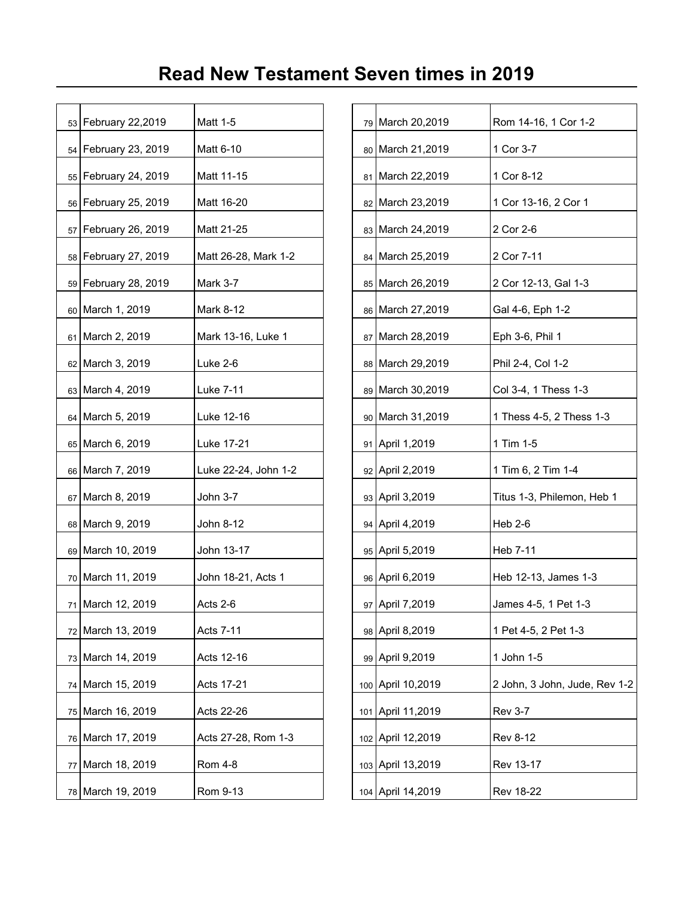|    | 53 February 22,2019    | Matt 1-5             |  | 79 March 20,2019  | Rom 14-16, 1 Cor 1-2     |
|----|------------------------|----------------------|--|-------------------|--------------------------|
|    | 54 February 23, 2019   | Matt 6-10            |  | 80 March 21,2019  | 1 Cor 3-7                |
|    | 55   February 24, 2019 | Matt 11-15           |  | 81 March 22,2019  | 1 Cor 8-12               |
|    | 56 February 25, 2019   | Matt 16-20           |  | 82 March 23,2019  | 1 Cor 13-16, 2 Cor 1     |
|    | 57 February 26, 2019   | Matt 21-25           |  | 83 March 24,2019  | 2 Cor 2-6                |
|    | 58 February 27, 2019   | Matt 26-28, Mark 1-2 |  | 84 March 25,2019  | 2 Cor 7-11               |
|    | 59 February 28, 2019   | Mark 3-7             |  | 85 March 26,2019  | 2 Cor 12-13, Gal 1-3     |
|    | 60 March 1, 2019       | Mark 8-12            |  | 86 March 27,2019  | Gal 4-6, Eph 1-2         |
|    | 61 March 2, 2019       | Mark 13-16, Luke 1   |  | 87 March 28,2019  | Eph 3-6, Phil 1          |
|    | 62 March 3, 2019       | Luke 2-6             |  | 88 March 29,2019  | Phil 2-4, Col 1-2        |
|    | 63 March 4, 2019       | Luke 7-11            |  | 89 March 30,2019  | Col 3-4, 1 Thess 1-3     |
|    | 64 March 5, 2019       | Luke 12-16           |  | 90 March 31,2019  | 1 Thess 4-5, 2 Thess 1-3 |
|    | 65 March 6, 2019       | Luke 17-21           |  | 91 April 1,2019   | 1 Tim 1-5                |
|    | 66 March 7, 2019       | Luke 22-24, John 1-2 |  | 92 April 2,2019   | 1 Tim 6, 2 Tim 1-4       |
|    | 67 March 8, 2019       | John 3-7             |  | 93 April 3,2019   | Titus 1-3, Philemon, Heb |
|    | 68 March 9, 2019       | John 8-12            |  | 94 April 4,2019   | Heb 2-6                  |
|    | 69 March 10, 2019      | John 13-17           |  | 95 April 5,2019   | Heb 7-11                 |
|    | 70 March 11, 2019      | John 18-21, Acts 1   |  | 96 April 6,2019   | Heb 12-13, James 1-3     |
|    | 71 March 12, 2019      | Acts 2-6             |  | 97 April 7,2019   | James 4-5, 1 Pet 1-3     |
|    | 72 March 13, 2019      | Acts 7-11            |  | 98 April 8,2019   | 1 Pet 4-5, 2 Pet 1-3     |
|    | 73 March 14, 2019      | Acts 12-16           |  | 99 April 9,2019   | 1 John 1-5               |
|    | 74 March 15, 2019      | Acts 17-21           |  | 100 April 10,2019 | 2 John, 3 John, Jude, Re |
|    | 75 March 16, 2019      | Acts 22-26           |  | 101 April 11,2019 | <b>Rev 3-7</b>           |
|    | 76 March 17, 2019      | Acts 27-28, Rom 1-3  |  | 102 April 12,2019 | Rev 8-12                 |
| 77 | March 18, 2019         | <b>Rom 4-8</b>       |  | 103 April 13,2019 | Rev 13-17                |
|    | 78 March 19, 2019      | Rom 9-13             |  | 104 April 14,2019 | <b>Rev 18-22</b>         |
|    |                        |                      |  |                   |                          |

| 53 February 22,2019            | Matt 1-5             |     | 79 March 20,2019   | Rom 14-16, 1 Cor 1-2          |
|--------------------------------|----------------------|-----|--------------------|-------------------------------|
| 54   February 23, 2019         | Matt 6-10            |     | 80 March 21,2019   | 1 Cor 3-7                     |
| 55   February 24, 2019         | Matt 11-15           |     | 81 March 22,2019   | 1 Cor 8-12                    |
| 56 February 25, 2019           | Matt 16-20           |     | 82 March 23,2019   | 1 Cor 13-16, 2 Cor 1          |
| 57   February 26, 2019         | Matt 21-25           |     | 83 March 24,2019   | 2 Cor 2-6                     |
| 58 February 27, 2019           | Matt 26-28, Mark 1-2 |     | 84 March 25,2019   | 2 Cor 7-11                    |
| 59 February 28, 2019           | Mark 3-7             |     | 85 March 26,2019   | 2 Cor 12-13, Gal 1-3          |
| 60 March 1, 2019               | Mark 8-12            |     | 86 March 27,2019   | Gal 4-6, Eph 1-2              |
| 61   March 2, 2019             | Mark 13-16, Luke 1   |     | 87   March 28,2019 | Eph 3-6, Phil 1               |
| 62 March 3, 2019               | Luke 2-6             |     | 88 March 29,2019   | Phil 2-4, Col 1-2             |
| 63 March 4, 2019               | Luke 7-11            |     | 89 March 30,2019   | Col 3-4, 1 Thess 1-3          |
| 64   March 5, 2019             | Luke 12-16           |     | 90 March 31,2019   | 1 Thess 4-5, 2 Thess 1-3      |
| 65 March 6, 2019               | Luke 17-21           |     | 91 April 1,2019    | 1 Tim 1-5                     |
| 66   March 7, 2019             | Luke 22-24, John 1-2 |     | 92 April 2,2019    | 1 Tim 6, 2 Tim 1-4            |
| 67 March 8, 2019               | John 3-7             |     | 93 April 3,2019    | Titus 1-3, Philemon, Heb 1    |
| 68   March 9, 2019             | John 8-12            |     | 94 April 4,2019    | Heb 2-6                       |
| 69 March 10, 2019              | John 13-17           |     | 95 April 5,2019    | Heb 7-11                      |
| 70 March 11, 2019              | John 18-21, Acts 1   |     | 96 April 6,2019    | Heb 12-13, James 1-3          |
| <sub>71</sub>   March 12, 2019 | Acts 2-6             |     | 97 April 7,2019    | James 4-5, 1 Pet 1-3          |
| 72 March 13, 2019              | <b>Acts 7-11</b>     | 98  | April 8,2019       | 1 Pet 4-5, 2 Pet 1-3          |
| 73 March 14, 2019              | Acts 12-16           |     | 99 April 9,2019    | 1 John 1-5                    |
| 74   March 15, 2019            | Acts 17-21           |     | 100 April 10,2019  | 2 John, 3 John, Jude, Rev 1-2 |
| 75   March 16, 2019            | Acts 22-26           | 101 | April 11,2019      | <b>Rev 3-7</b>                |
| 76   March 17, 2019            | Acts 27-28, Rom 1-3  |     | 102 April 12,2019  | <b>Rev 8-12</b>               |
| 77   March 18, 2019            | <b>Rom 4-8</b>       |     | 103 April 13,2019  | Rev 13-17                     |
| 78 March 19, 2019              | Rom 9-13             |     | 104 April 14,2019  | <b>Rev 18-22</b>              |
|                                |                      |     |                    |                               |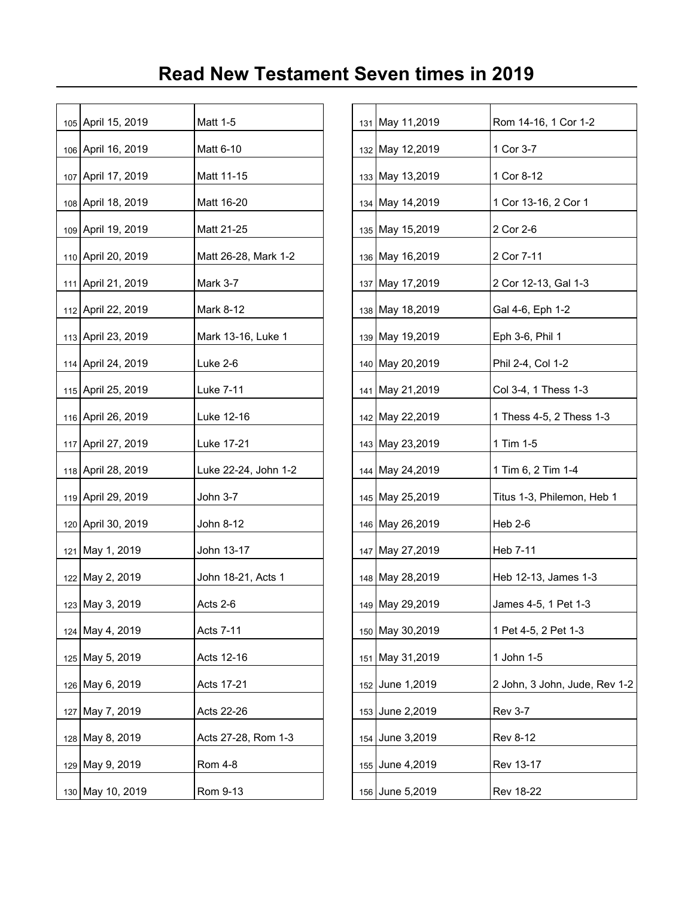| 105 April 15, 2019 | Matt 1-5             |  | 131 May 11,2019  | Rom 14-16, 1 Cor 1-2     |
|--------------------|----------------------|--|------------------|--------------------------|
| 106 April 16, 2019 | Matt 6-10            |  | 132 May 12,2019  | 1 Cor 3-7                |
| 107 April 17, 2019 | Matt 11-15           |  | 133 May 13,2019  | 1 Cor 8-12               |
| 108 April 18, 2019 | Matt 16-20           |  | 134 May 14,2019  | 1 Cor 13-16, 2 Cor 1     |
| 109 April 19, 2019 | Matt 21-25           |  | 135 May 15,2019  | 2 Cor 2-6                |
| 110 April 20, 2019 | Matt 26-28, Mark 1-2 |  | 136 May 16,2019  | 2 Cor 7-11               |
| 111 April 21, 2019 | Mark 3-7             |  | 137 May 17,2019  | 2 Cor 12-13, Gal 1-3     |
| 112 April 22, 2019 | Mark 8-12            |  | 138 May 18,2019  | Gal 4-6, Eph 1-2         |
| 113 April 23, 2019 | Mark 13-16, Luke 1   |  | 139 May 19,2019  | Eph 3-6, Phil 1          |
| 114 April 24, 2019 | Luke 2-6             |  | 140 May 20,2019  | Phil 2-4, Col 1-2        |
| 115 April 25, 2019 | Luke 7-11            |  | 141 May 21,2019  | Col 3-4, 1 Thess 1-3     |
| 116 April 26, 2019 | Luke 12-16           |  | 142 May 22,2019  | 1 Thess 4-5, 2 Thess 1-3 |
| 117 April 27, 2019 | Luke 17-21           |  | 143 May 23,2019  | 1 Tim 1-5                |
| 118 April 28, 2019 | Luke 22-24, John 1-2 |  | 144 May 24, 2019 | 1 Tim 6, 2 Tim 1-4       |
| 119 April 29, 2019 | John 3-7             |  | 145 May 25,2019  | Titus 1-3, Philemon, Heb |
| 120 April 30, 2019 | John 8-12            |  | 146 May 26,2019  | <b>Heb 2-6</b>           |
| 121 May 1, 2019    | John 13-17           |  | 147 May 27,2019  | Heb 7-11                 |
| 122 May 2, 2019    | John 18-21, Acts 1   |  | 148 May 28,2019  | Heb 12-13, James 1-3     |
| 123 May 3, 2019    | Acts 2-6             |  | 149 May 29,2019  | James 4-5, 1 Pet 1-3     |
| 124 May 4, 2019    | Acts 7-11            |  | 150 May 30,2019  | 1 Pet 4-5, 2 Pet 1-3     |
| 125 May 5, 2019    | Acts 12-16           |  | 151 May 31,2019  | 1 John 1-5               |
| 126 May 6, 2019    | Acts 17-21           |  | 152 June 1,2019  | 2 John, 3 John, Jude, Re |
| 127 May 7, 2019    | Acts 22-26           |  | 153 June 2,2019  | <b>Rev 3-7</b>           |
| 128 May 8, 2019    | Acts 27-28, Rom 1-3  |  | 154 June 3,2019  | <b>Rev 8-12</b>          |
| 129 May 9, 2019    | Rom 4-8              |  | 155 June 4,2019  | Rev 13-17                |
| 130 May 10, 2019   | Rom 9-13             |  | 156 June 5,2019  | <b>Rev 18-22</b>         |
|                    |                      |  |                  |                          |

| 105 April 15, 2019   | Matt 1-5             |     | 131 May 11,2019  | Rom 14-16, 1 Cor 1-2          |
|----------------------|----------------------|-----|------------------|-------------------------------|
| 106 April 16, 2019   | Matt 6-10            |     | 132 May 12,2019  | 1 Cor 3-7                     |
| 107 April 17, 2019   | Matt 11-15           |     | 133 May 13,2019  | 1 Cor 8-12                    |
| 108 April 18, 2019   | Matt 16-20           |     | 134 May 14,2019  | 1 Cor 13-16, 2 Cor 1          |
| 109 April 19, 2019   | Matt 21-25           |     | 135 May 15,2019  | 2 Cor 2-6                     |
| 110 April 20, 2019   | Matt 26-28, Mark 1-2 |     | 136 May 16,2019  | 2 Cor 7-11                    |
| 111 April 21, 2019   | Mark 3-7             |     | 137 May 17,2019  | 2 Cor 12-13, Gal 1-3          |
| 112 April 22, 2019   | Mark 8-12            |     | 138 May 18,2019  | Gal 4-6, Eph 1-2              |
| 113 April 23, 2019   | Mark 13-16, Luke 1   |     | 139 May 19,2019  | Eph 3-6, Phil 1               |
| 114 April 24, 2019   | Luke 2-6             |     | 140 May 20,2019  | Phil 2-4, Col 1-2             |
| 115 April 25, 2019   | Luke 7-11            |     | 141 May 21,2019  | Col 3-4, 1 Thess 1-3          |
| 116 April 26, 2019   | Luke 12-16           |     | 142 May 22,2019  | 1 Thess 4-5, 2 Thess 1-3      |
| 117 April 27, 2019   | Luke 17-21           |     | 143 May 23,2019  | 1 Tim 1-5                     |
| 118 April 28, 2019   | Luke 22-24, John 1-2 |     | 144 May 24, 2019 | 1 Tim 6, 2 Tim 1-4            |
| 119 April 29, 2019   | John 3-7             |     | 145 May 25,2019  | Titus 1-3, Philemon, Heb 1    |
| 120   April 30, 2019 | John 8-12            |     | 146 May 26,2019  | $Heb$ 2-6                     |
| 121   May 1, 2019    | John 13-17           |     | 147 May 27,2019  | Heb 7-11                      |
| 122 May 2, 2019      | John 18-21, Acts 1   |     | 148 May 28,2019  | Heb 12-13, James 1-3          |
| 123 May 3, 2019      | Acts 2-6             |     | 149 May 29,2019  | James 4-5, 1 Pet 1-3          |
| 124   May 4, 2019    | <b>Acts 7-11</b>     |     | 150 May 30,2019  | 1 Pet 4-5, 2 Pet 1-3          |
| 125 May 5, 2019      | Acts 12-16           | 151 | May 31,2019      | 1 John 1-5                    |
| 126 May 6, 2019      | Acts 17-21           | 152 | June 1,2019      | 2 John, 3 John, Jude, Rev 1-2 |
| 127 May 7, 2019      | Acts 22-26           | 153 | June 2,2019      | <b>Rev 3-7</b>                |
| 128 May 8, 2019      | Acts 27-28, Rom 1-3  | 154 | June 3,2019      | <b>Rev 8-12</b>               |
| 129 May 9, 2019      | <b>Rom 4-8</b>       | 155 | June 4,2019      | Rev 13-17                     |
| 130 May 10, 2019     | Rom 9-13             |     | 156 June 5,2019  | Rev 18-22                     |
|                      |                      |     |                  |                               |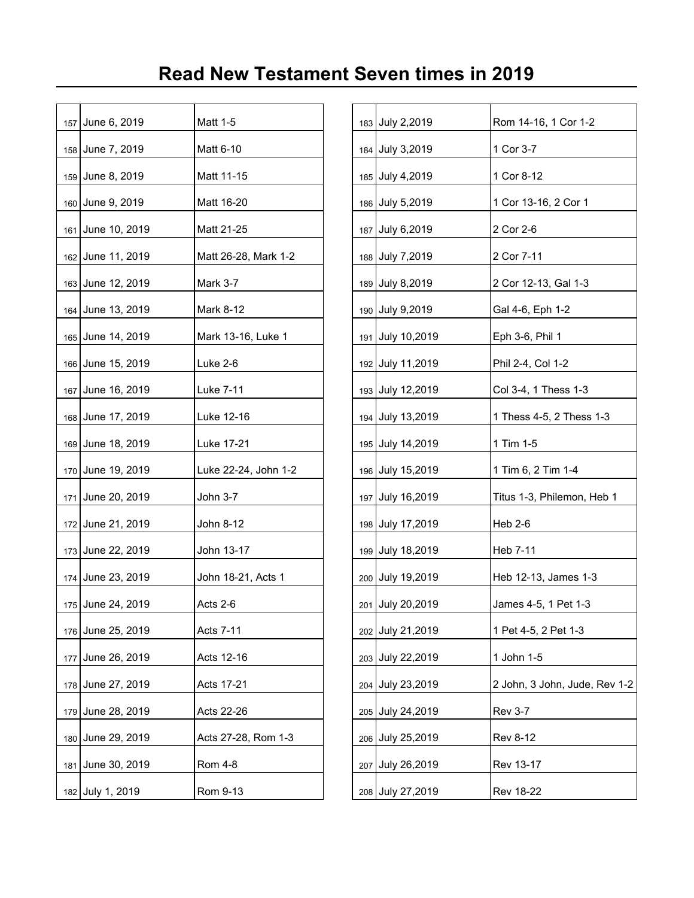| 157 June 6, 2019  | Matt 1-5             |  | 183 July 2,2019   | Rom 14-16, 1 Cor 1-2     |
|-------------------|----------------------|--|-------------------|--------------------------|
| 158 June 7, 2019  | Matt 6-10            |  | 184 July 3,2019   | 1 Cor 3-7                |
| 159 June 8, 2019  | Matt 11-15           |  | 185 July 4,2019   | 1 Cor 8-12               |
| 160 June 9, 2019  | Matt 16-20           |  | 186 July 5,2019   | 1 Cor 13-16, 2 Cor 1     |
| 161 June 10, 2019 | Matt 21-25           |  | 187 July 6,2019   | 2 Cor 2-6                |
| 162 June 11, 2019 | Matt 26-28, Mark 1-2 |  | 188 July 7,2019   | 2 Cor 7-11               |
| 163 June 12, 2019 | Mark 3-7             |  | 189 July 8,2019   | 2 Cor 12-13, Gal 1-3     |
| 164 June 13, 2019 | Mark 8-12            |  | 190 July 9,2019   | Gal 4-6, Eph 1-2         |
| 165 June 14, 2019 | Mark 13-16, Luke 1   |  | 191 July 10,2019  | Eph 3-6, Phil 1          |
| 166 June 15, 2019 | Luke 2-6             |  | 192 July 11,2019  | Phil 2-4, Col 1-2        |
| 167 June 16, 2019 | Luke 7-11            |  | 193 July 12,2019  | Col 3-4, 1 Thess 1-3     |
| 168 June 17, 2019 | Luke 12-16           |  | 194 July 13,2019  | 1 Thess 4-5, 2 Thess 1-3 |
| 169 June 18, 2019 | Luke 17-21           |  | 195 July 14,2019  | 1 Tim 1-5                |
| 170 June 19, 2019 | Luke 22-24, John 1-2 |  | 196 July 15,2019  | 1 Tim 6, 2 Tim 1-4       |
| 171 June 20, 2019 | John 3-7             |  | 197 July 16,2019  | Titus 1-3, Philemon, Heb |
| 172 June 21, 2019 | John 8-12            |  | 198 July 17,2019  | <b>Heb 2-6</b>           |
| 173 June 22, 2019 | John 13-17           |  | 199 July 18,2019  | Heb 7-11                 |
| 174 June 23, 2019 | John 18-21, Acts 1   |  | 200 July 19,2019  | Heb 12-13, James 1-3     |
| 175 June 24, 2019 | Acts 2-6             |  | 201 July 20,2019  | James 4-5, 1 Pet 1-3     |
| 176 June 25, 2019 | Acts 7-11            |  | 202 July 21,2019  | 1 Pet 4-5, 2 Pet 1-3     |
| 177 June 26, 2019 | Acts 12-16           |  | 203 July 22,2019  | 1 John 1-5               |
| 178 June 27, 2019 | Acts 17-21           |  | 204 July 23,2019  | 2 John, 3 John, Jude, Re |
| 179 June 28, 2019 | Acts 22-26           |  | 205 July 24, 2019 | <b>Rev 3-7</b>           |
| 180 June 29, 2019 | Acts 27-28, Rom 1-3  |  | 206 July 25,2019  | <b>Rev 8-12</b>          |
| 181 June 30, 2019 | Rom 4-8              |  | 207 July 26,2019  | Rev 13-17                |
| 182 July 1, 2019  | Rom 9-13             |  | 208 July 27,2019  | <b>Rev 18-22</b>         |
|                   |                      |  |                   |                          |

| 157 June 6, 2019  | Matt 1-5             |     | 183 July 2,2019  | Rom 14-16, 1 Cor 1-2          |
|-------------------|----------------------|-----|------------------|-------------------------------|
| 158 June 7, 2019  | Matt 6-10            |     | 184 July 3,2019  | 1 Cor 3-7                     |
| 159 June 8, 2019  | Matt 11-15           |     | 185 July 4,2019  | 1 Cor 8-12                    |
| 160 June 9, 2019  | Matt 16-20           |     | 186 July 5,2019  | 1 Cor 13-16, 2 Cor 1          |
| 161 June 10, 2019 | Matt 21-25           | 187 | July 6,2019      | 2 Cor 2-6                     |
| 162 June 11, 2019 | Matt 26-28, Mark 1-2 |     | 188 July 7,2019  | 2 Cor 7-11                    |
| 163 June 12, 2019 | Mark 3-7             |     | 189 July 8,2019  | 2 Cor 12-13, Gal 1-3          |
| 164 June 13, 2019 | Mark 8-12            |     | 190 July 9,2019  | Gal 4-6, Eph 1-2              |
| 165 June 14, 2019 | Mark 13-16, Luke 1   |     | 191 July 10,2019 | Eph 3-6, Phil 1               |
| 166 June 15, 2019 | Luke 2-6             |     | 192 July 11,2019 | Phil 2-4, Col 1-2             |
| 167 June 16, 2019 | Luke 7-11            |     | 193 July 12,2019 | Col 3-4, 1 Thess 1-3          |
| 168 June 17, 2019 | Luke 12-16           | 194 | July 13,2019     | 1 Thess 4-5, 2 Thess 1-3      |
| 169 June 18, 2019 | Luke 17-21           |     | 195 July 14,2019 | 1 Tim 1-5                     |
| 170 June 19, 2019 | Luke 22-24, John 1-2 |     | 196 July 15,2019 | 1 Tim 6, 2 Tim 1-4            |
| 171 June 20, 2019 | John 3-7             | 197 | July 16,2019     | Titus 1-3, Philemon, Heb 1    |
| 172 June 21, 2019 | John 8-12            |     | 198 July 17,2019 | $Heb$ 2-6                     |
| 173 June 22, 2019 | John 13-17           |     | 199 July 18,2019 | Heb 7-11                      |
| 174 June 23, 2019 | John 18-21, Acts 1   |     | 200 July 19,2019 | Heb 12-13, James 1-3          |
| 175 June 24, 2019 | Acts 2-6             |     | 201 July 20,2019 | James 4-5, 1 Pet 1-3          |
| 176 June 25, 2019 | Acts 7-11            | 202 | July 21,2019     | 1 Pet 4-5, 2 Pet 1-3          |
| 177 June 26, 2019 | Acts 12-16           |     | 203 July 22,2019 | 1 John 1-5                    |
| 178 June 27, 2019 | Acts 17-21           | 204 | July 23,2019     | 2 John, 3 John, Jude, Rev 1-2 |
| 179 June 28, 2019 | Acts 22-26           | 205 | July 24,2019     | <b>Rev 3-7</b>                |
| 180 June 29, 2019 | Acts 27-28, Rom 1-3  |     | 206 July 25,2019 | <b>Rev 8-12</b>               |
| 181 June 30, 2019 | <b>Rom 4-8</b>       | 207 | July 26,2019     | Rev 13-17                     |
| 182 July 1, 2019  | Rom 9-13             |     | 208 July 27,2019 | <b>Rev 18-22</b>              |
|                   |                      |     |                  |                               |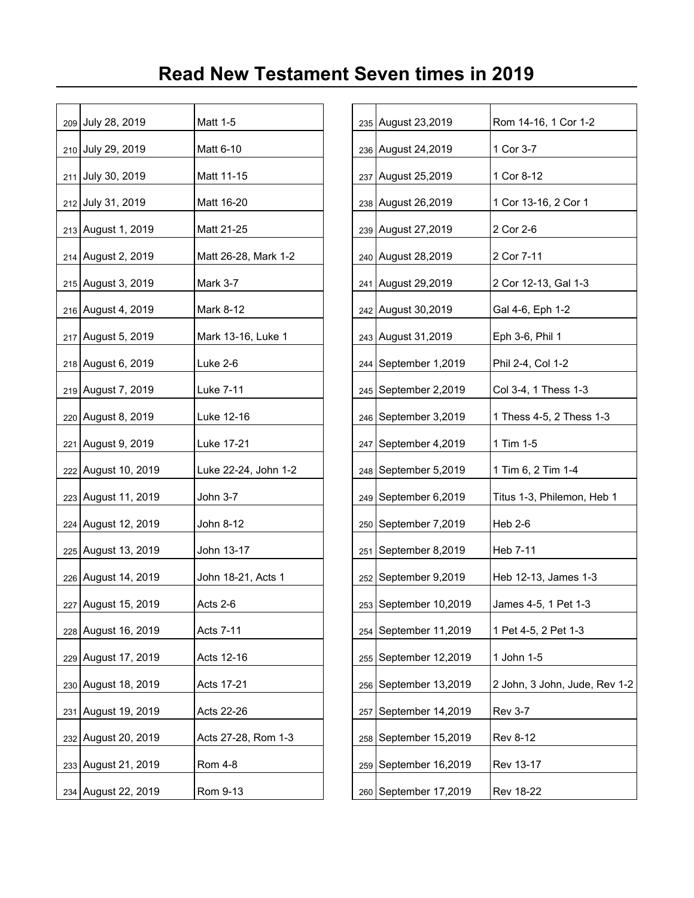|  | 209 July 28, 2019   | Matt 1-5             |     | 235 August 23,2019      | Rom 14-16, 1 Cor 1-2     |
|--|---------------------|----------------------|-----|-------------------------|--------------------------|
|  | 210 July 29, 2019   | Matt 6-10            |     | 236 August 24, 2019     | 1 Cor 3-7                |
|  | 211 July 30, 2019   | Matt 11-15           |     | 237 August 25,2019      | 1 Cor 8-12               |
|  | 212 July 31, 2019   | Matt 16-20           |     | 238 August 26, 2019     | 1 Cor 13-16, 2 Cor 1     |
|  | 213 August 1, 2019  | Matt 21-25           |     | 239 August 27,2019      | 2 Cor 2-6                |
|  | 214 August 2, 2019  | Matt 26-28, Mark 1-2 |     | 240 August 28,2019      | 2 Cor 7-11               |
|  | 215 August 3, 2019  | <b>Mark 3-7</b>      |     | 241 August 29,2019      | 2 Cor 12-13, Gal 1-3     |
|  | 216 August 4, 2019  | Mark 8-12            |     | 242 August 30, 2019     | Gal 4-6, Eph 1-2         |
|  | 217 August 5, 2019  | Mark 13-16, Luke 1   |     | 243 August 31,2019      | Eph 3-6, Phil 1          |
|  | 218 August 6, 2019  | Luke 2-6             |     | 244   September 1,2019  | Phil 2-4, Col 1-2        |
|  | 219 August 7, 2019  | Luke 7-11            |     | 245   September 2,2019  | Col 3-4, 1 Thess 1-3     |
|  | 220 August 8, 2019  | Luke 12-16           |     | 246   September 3,2019  | 1 Thess 4-5, 2 Thess 1-3 |
|  | 221 August 9, 2019  | Luke 17-21           | 247 | September 4,2019        | 1 Tim 1-5                |
|  | 222 August 10, 2019 | Luke 22-24, John 1-2 |     | 248   September 5,2019  | 1 Tim 6, 2 Tim 1-4       |
|  | 223 August 11, 2019 | John 3-7             |     | 249 September 6,2019    | Titus 1-3, Philemon, Heb |
|  | 224 August 12, 2019 | John 8-12            |     | 250   September 7,2019  | Heb 2-6                  |
|  | 225 August 13, 2019 | John 13-17           | 251 | September 8,2019        | Heb 7-11                 |
|  | 226 August 14, 2019 | John 18-21, Acts 1   | 252 | September 9,2019        | Heb 12-13, James 1-3     |
|  | 227 August 15, 2019 | Acts 2-6             |     | 253 September 10,2019   | James 4-5, 1 Pet 1-3     |
|  | 228 August 16, 2019 | Acts 7-11            |     | 254   September 11,2019 | 1 Pet 4-5, 2 Pet 1-3     |
|  | 229 August 17, 2019 | Acts 12-16           | 255 | September 12,2019       | 1 John 1-5               |
|  | 230 August 18, 2019 | Acts 17-21           |     | 256   September 13,2019 | 2 John, 3 John, Jude, Re |
|  | 231 August 19, 2019 | Acts 22-26           | 257 | September 14,2019       | <b>Rev 3-7</b>           |
|  | 232 August 20, 2019 | Acts 27-28, Rom 1-3  | 258 | September 15,2019       | <b>Rev 8-12</b>          |
|  | 233 August 21, 2019 | <b>Rom 4-8</b>       | 259 | September 16,2019       | Rev 13-17                |
|  | 234 August 22, 2019 | Rom 9-13             |     | 260   September 17,2019 | <b>Rev 18-22</b>         |
|  |                     |                      |     |                         |                          |

|     | 209 July 28, 2019              | Matt 1-5             |     |     | 235 August 23, 2019     | Rom 14-16, 1 Cor 1-2          |
|-----|--------------------------------|----------------------|-----|-----|-------------------------|-------------------------------|
|     | 210 July 29, 2019              | Matt 6-10            |     |     | 236 August 24, 2019     | 1 Cor 3-7                     |
|     | 211 July 30, 2019              | Matt 11-15           |     |     | 237 August 25,2019      | 1 Cor 8-12                    |
|     | 212 July 31, 2019              | Matt 16-20           |     |     | 238 August 26, 2019     | 1 Cor 13-16, 2 Cor 1          |
|     | 213 August 1, 2019             | Matt 21-25           |     |     | 239 August 27,2019      | 2 Cor 2-6                     |
|     | 214 August 2, 2019             | Matt 26-28, Mark 1-2 |     |     | 240 August 28,2019      | 2 Cor 7-11                    |
|     | 215 August 3, 2019             | Mark 3-7             |     | 241 | August 29,2019          | 2 Cor 12-13, Gal 1-3          |
|     | 216   August 4, 2019           | Mark 8-12            |     |     | 242 August 30,2019      | Gal 4-6, Eph 1-2              |
|     | 217 August 5, 2019             | Mark 13-16, Luke 1   |     |     | 243 August 31, 2019     | Eph 3-6, Phil 1               |
|     | 218 August 6, 2019             | Luke 2-6             |     | 244 | September 1,2019        | Phil 2-4, Col 1-2             |
|     | 219 August 7, 2019             | Luke 7-11            |     |     | 245   September 2,2019  | Col 3-4, 1 Thess 1-3          |
|     | 220 August 8, 2019             | Luke 12-16           |     |     | 246   September 3,2019  | 1 Thess 4-5, 2 Thess 1-3      |
|     | 221 August 9, 2019             | Luke 17-21           |     |     | 247   September 4,2019  | 1 Tim 1-5                     |
|     | 222 August 10, 2019            | Luke 22-24, John 1-2 |     |     | 248   September 5,2019  | 1 Tim 6, 2 Tim 1-4            |
|     | 223 August 11, 2019            | John 3-7             |     |     | 249 September 6,2019    | Titus 1-3, Philemon, Heb 1    |
|     | 224 August 12, 2019            | John 8-12            |     |     | 250   September 7,2019  | $Heb$ 2-6                     |
|     | 225 August 13, 2019            | John 13-17           | 251 |     | September 8,2019        | Heb 7-11                      |
|     | 226 August 14, 2019            | John 18-21, Acts 1   |     | 252 | September 9,2019        | Heb 12-13, James 1-3          |
|     | <sub>227</sub> August 15, 2019 | Acts 2-6             |     |     | 253   September 10,2019 | James 4-5, 1 Pet 1-3          |
|     | 228 August 16, 2019            | Acts 7-11            | 254 |     | September 11,2019       | 1 Pet 4-5, 2 Pet 1-3          |
|     | 229 August 17, 2019            | Acts 12-16           | 255 |     | September 12,2019       | 1 John 1-5                    |
|     | 230 August 18, 2019            | Acts 17-21           | 256 |     | September 13,2019       | 2 John, 3 John, Jude, Rev 1-2 |
| 231 | August 19, 2019                | Acts 22-26           | 257 |     | September 14,2019       | <b>Rev 3-7</b>                |
|     | 232 August 20, 2019            | Acts 27-28, Rom 1-3  | 258 |     | September 15,2019       | <b>Rev 8-12</b>               |
|     | 233 August 21, 2019            | Rom 4-8              | 259 |     | September 16,2019       | Rev 13-17                     |
|     | 234 August 22, 2019            | Rom 9-13             |     |     | 260 September 17,2019   | <b>Rev 18-22</b>              |
|     |                                |                      |     |     |                         |                               |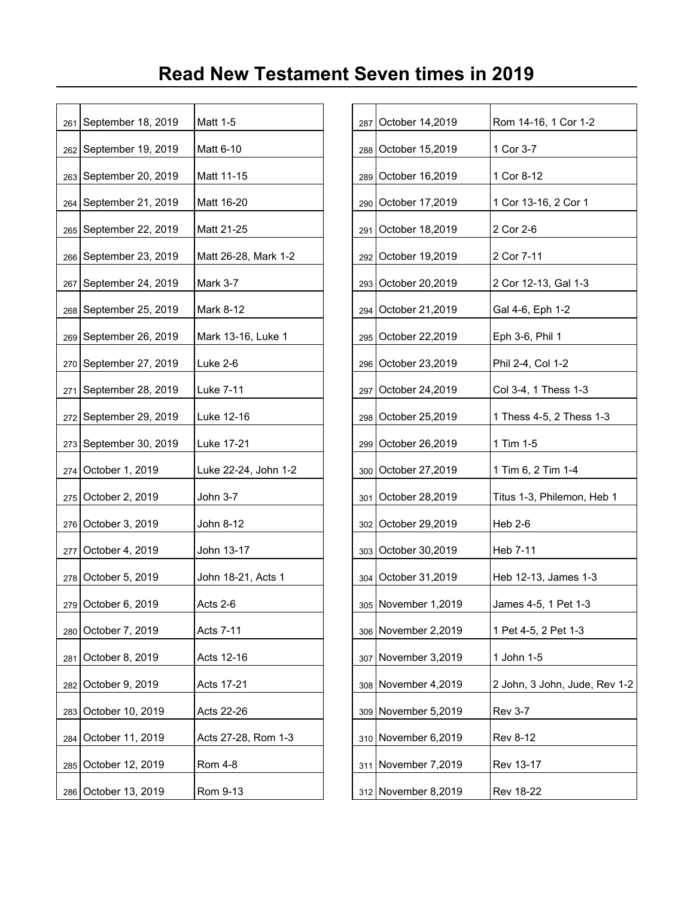| 261 | September 18, 2019       | Matt 1-5             | 287 | October 14,2019       | Rom 14-16, 1 Cor 1-2     |
|-----|--------------------------|----------------------|-----|-----------------------|--------------------------|
|     | 262 September 19, 2019   | Matt 6-10            |     | 288 October 15,2019   | 1 Cor 3-7                |
|     | 263   September 20, 2019 | Matt 11-15           | 289 | October 16,2019       | 1 Cor 8-12               |
| 264 | September 21, 2019       | Matt 16-20           | 290 | October 17,2019       | 1 Cor 13-16, 2 Cor 1     |
|     | 265   September 22, 2019 | Matt 21-25           | 291 | October 18,2019       | 2 Cor 2-6                |
|     | 266 September 23, 2019   | Matt 26-28, Mark 1-2 | 292 | October 19,2019       | 2 Cor 7-11               |
| 267 | September 24, 2019       | Mark 3-7             | 293 | October 20,2019       | 2 Cor 12-13, Gal 1-3     |
|     | 268   September 25, 2019 | Mark 8-12            | 294 | October 21,2019       | Gal 4-6, Eph 1-2         |
|     | 269 September 26, 2019   | Mark 13-16, Luke 1   |     | 295 October 22,2019   | Eph 3-6, Phil 1          |
|     | 270 September 27, 2019   | Luke 2-6             | 296 | October 23,2019       | Phil 2-4, Col 1-2        |
| 271 | September 28, 2019       | Luke 7-11            | 297 | October 24,2019       | Col 3-4, 1 Thess 1-3     |
| 272 | September 29, 2019       | Luke 12-16           | 298 | October 25,2019       | 1 Thess 4-5, 2 Thess 1-3 |
| 273 | September 30, 2019       | Luke 17-21           | 299 | October 26,2019       | 1 Tim 1-5                |
| 274 | October 1, 2019          | Luke 22-24, John 1-2 |     | 300 October 27,2019   | 1 Tim 6, 2 Tim 1-4       |
| 275 | October 2, 2019          | John 3-7             | 301 | October 28,2019       | Titus 1-3, Philemon, Heb |
|     | 276 October 3, 2019      | John 8-12            |     | 302 October 29,2019   | <b>Heb 2-6</b>           |
|     | 277 October 4, 2019      | John 13-17           |     | 303 October 30,2019   | Heb 7-11                 |
|     | 278 October 5, 2019      | John 18-21, Acts 1   |     | 304 October 31,2019   | Heb 12-13, James 1-3     |
|     | 279 October 6, 2019      | Acts 2-6             |     | 305   November 1,2019 | James 4-5, 1 Pet 1-3     |
| 280 | October 7, 2019          | Acts 7-11            |     | 306 November 2,2019   | 1 Pet 4-5, 2 Pet 1-3     |
| 281 | October 8, 2019          | Acts 12-16           | 307 | November 3,2019       | 1 John 1-5               |
|     | 282 October 9, 2019      | Acts 17-21           |     | 308 November 4,2019   | 2 John, 3 John, Jude, Re |
|     | 283 October 10, 2019     | Acts 22-26           |     | 309 November 5,2019   | <b>Rev 3-7</b>           |
| 284 | October 11, 2019         | Acts 27-28, Rom 1-3  |     | 310 November 6,2019   | <b>Rev 8-12</b>          |
| 285 | October 12, 2019         | Rom 4-8              |     | 311 November 7,2019   | Rev 13-17                |
|     | 286 October 13, 2019     | Rom 9-13             |     | 312 November 8,2019   | <b>Rev 18-22</b>         |
|     |                          |                      |     |                       |                          |

| 261   | September 18, 2019       | Matt 1-5             | 287 | October 14,2019     | Rom 14-16, 1 Cor 1-2          |
|-------|--------------------------|----------------------|-----|---------------------|-------------------------------|
| 262   | September 19, 2019       | Matt 6-10            | 288 | October 15,2019     | 1 Cor 3-7                     |
|       | 263   September 20, 2019 | Matt 11-15           | 289 | October 16,2019     | 1 Cor 8-12                    |
| 264   | September 21, 2019       | Matt 16-20           | 290 | October 17,2019     | 1 Cor 13-16, 2 Cor 1          |
|       | 265   September 22, 2019 | Matt 21-25           | 291 | October 18,2019     | 2 Cor 2-6                     |
| 266   | September 23, 2019       | Matt 26-28, Mark 1-2 | 292 | October 19,2019     | 2 Cor 7-11                    |
| 267   | September 24, 2019       | Mark 3-7             | 293 | October 20,2019     | 2 Cor 12-13, Gal 1-3          |
| 268   | September 25, 2019       | Mark 8-12            | 294 | October 21,2019     | Gal 4-6, Eph 1-2              |
| 269   | September 26, 2019       | Mark 13-16, Luke 1   | 295 | October 22,2019     | Eph 3-6, Phil 1               |
|       | 270 September 27, 2019   | Luke 2-6             | 296 | October 23,2019     | Phil 2-4, Col 1-2             |
| 271   | September 28, 2019       | Luke 7-11            | 297 | October 24,2019     | Col 3-4, 1 Thess 1-3          |
|       | 272   September 29, 2019 | Luke 12-16           | 298 | October 25,2019     | 1 Thess 4-5, 2 Thess 1-3      |
|       | 273   September 30, 2019 | Luke 17-21           | 299 | October 26,2019     | 1 Tim 1-5                     |
|       | 274 October 1, 2019      | Luke 22-24, John 1-2 | 300 | October 27,2019     | 1 Tim 6, 2 Tim 1-4            |
|       | 275 October 2, 2019      | John 3-7             | 301 | October 28,2019     | Titus 1-3, Philemon, Heb 1    |
| 276   | October 3, 2019          | John 8-12            | 302 | October 29,2019     | $Heb$ 2-6                     |
| 277   | October 4, 2019          | John 13-17           | 303 | October 30,2019     | Heb 7-11                      |
|       | 278 October 5, 2019      | John 18-21, Acts 1   | 304 | October 31,2019     | Heb 12-13, James 1-3          |
|       | 279 October 6, 2019      | Acts 2-6             |     | 305 November 1,2019 | James 4-5, 1 Pet 1-3          |
| ا 280 | October 7, 2019          | <b>Acts 7-11</b>     | 306 | November 2,2019     | 1 Pet 4-5, 2 Pet 1-3          |
| 281   | October 8, 2019          | Acts 12-16           | 307 | November 3,2019     | 1 John 1-5                    |
| 282   | October 9, 2019          | Acts 17-21           | 308 | November 4,2019     | 2 John, 3 John, Jude, Rev 1-2 |
| 283   | October 10, 2019         | Acts 22-26           | 309 | November 5,2019     | <b>Rev 3-7</b>                |
| 284   | October 11, 2019         | Acts 27-28, Rom 1-3  | 310 | November 6,2019     | <b>Rev 8-12</b>               |
| 285   | October 12, 2019         | <b>Rom 4-8</b>       | 311 | November 7,2019     | Rev 13-17                     |
|       | 286 October 13, 2019     | Rom 9-13             |     | 312 November 8,2019 | <b>Rev 18-22</b>              |
|       |                          |                      |     |                     |                               |